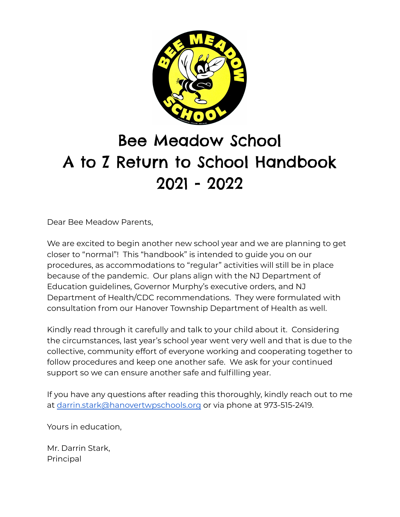

# Bee Meadow School A to Z Return to School Handbook 2021 - 2022

Dear Bee Meadow Parents,

We are excited to begin another new school year and we are planning to get closer to "normal"! This "handbook" is intended to guide you on our procedures, as accommodations to "regular" activities will still be in place because of the pandemic. Our plans align with the NJ Department of Education guidelines, Governor Murphy's executive orders, and NJ Department of Health/CDC recommendations. They were formulated with consultation from our Hanover Township Department of Health as well.

Kindly read through it carefully and talk to your child about it. Considering the circumstances, last year's school year went very well and that is due to the collective, community effort of everyone working and cooperating together to follow procedures and keep one another safe. We ask for your continued support so we can ensure another safe and fulfilling year.

If you have any questions after reading this thoroughly, kindly reach out to me at [darrin.stark@hanovertwpschools.org](mailto:darrin.stark@hanovertwpschools.org) or via phone at 973-515-2419.

Yours in education,

Mr. Darrin Stark, Principal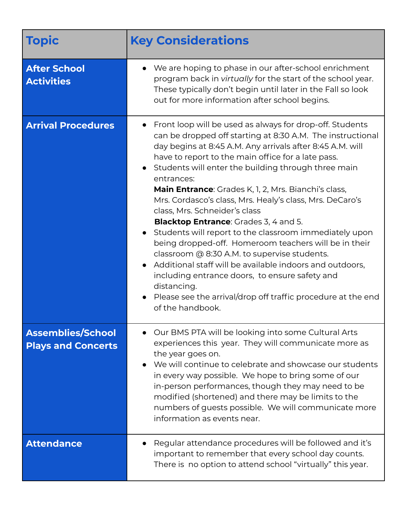| <b>Topic</b>                                          | <b>Key Considerations</b>                                                                                                                                                                                                                                                                                                                                                                                                                                                                                                                                                                                                                                                                                                                                                                                                                                                                                           |
|-------------------------------------------------------|---------------------------------------------------------------------------------------------------------------------------------------------------------------------------------------------------------------------------------------------------------------------------------------------------------------------------------------------------------------------------------------------------------------------------------------------------------------------------------------------------------------------------------------------------------------------------------------------------------------------------------------------------------------------------------------------------------------------------------------------------------------------------------------------------------------------------------------------------------------------------------------------------------------------|
| <b>After School</b><br><b>Activities</b>              | We are hoping to phase in our after-school enrichment<br>program back in virtually for the start of the school year.<br>These typically don't begin until later in the Fall so look<br>out for more information after school begins.                                                                                                                                                                                                                                                                                                                                                                                                                                                                                                                                                                                                                                                                                |
| <b>Arrival Procedures</b>                             | Front loop will be used as always for drop-off. Students<br>can be dropped off starting at 8:30 A.M. The instructional<br>day begins at 8:45 A.M. Any arrivals after 8:45 A.M. will<br>have to report to the main office for a late pass.<br>• Students will enter the building through three main<br>entrances:<br><b>Main Entrance</b> : Grades K, 1, 2, Mrs. Bianchi's class,<br>Mrs. Cordasco's class, Mrs. Healy's class, Mrs. DeCaro's<br>class, Mrs. Schneider's class<br><b>Blacktop Entrance:</b> Grades 3, 4 and 5.<br>• Students will report to the classroom immediately upon<br>being dropped-off. Homeroom teachers will be in their<br>classroom @ 8:30 A.M. to supervise students.<br>Additional staff will be available indoors and outdoors,<br>including entrance doors, to ensure safety and<br>distancing.<br>Please see the arrival/drop off traffic procedure at the end<br>of the handbook. |
| <b>Assemblies/School</b><br><b>Plays and Concerts</b> | Our BMS PTA will be looking into some Cultural Arts<br>experiences this year. They will communicate more as<br>the year goes on.<br>We will continue to celebrate and showcase our students<br>in every way possible. We hope to bring some of our<br>in-person performances, though they may need to be<br>modified (shortened) and there may be limits to the<br>numbers of guests possible. We will communicate more<br>information as events near.                                                                                                                                                                                                                                                                                                                                                                                                                                                              |
| <b>Attendance</b>                                     | Regular attendance procedures will be followed and it's<br>important to remember that every school day counts.<br>There is no option to attend school "virtually" this year.                                                                                                                                                                                                                                                                                                                                                                                                                                                                                                                                                                                                                                                                                                                                        |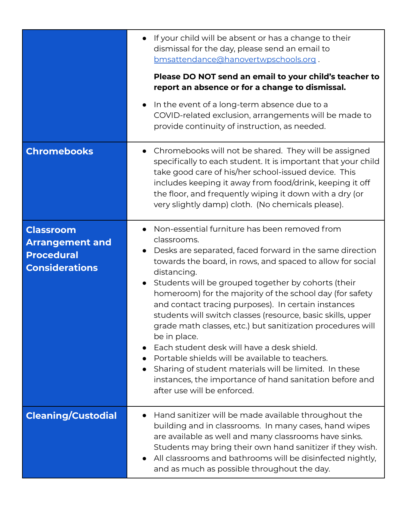|                                                                                          | If your child will be absent or has a change to their<br>dismissal for the day, please send an email to<br>bmsattendance@hanovertwpschools.org.<br>Please DO NOT send an email to your child's teacher to                                                                                                                                                                                                                                                                                                                                                                                                                                                                                                                                                                         |
|------------------------------------------------------------------------------------------|-----------------------------------------------------------------------------------------------------------------------------------------------------------------------------------------------------------------------------------------------------------------------------------------------------------------------------------------------------------------------------------------------------------------------------------------------------------------------------------------------------------------------------------------------------------------------------------------------------------------------------------------------------------------------------------------------------------------------------------------------------------------------------------|
|                                                                                          | report an absence or for a change to dismissal.                                                                                                                                                                                                                                                                                                                                                                                                                                                                                                                                                                                                                                                                                                                                   |
|                                                                                          | In the event of a long-term absence due to a<br>COVID-related exclusion, arrangements will be made to<br>provide continuity of instruction, as needed.                                                                                                                                                                                                                                                                                                                                                                                                                                                                                                                                                                                                                            |
| <b>Chromebooks</b>                                                                       | Chromebooks will not be shared. They will be assigned<br>specifically to each student. It is important that your child<br>take good care of his/her school-issued device. This<br>includes keeping it away from food/drink, keeping it off<br>the floor, and frequently wiping it down with a dry (or<br>very slightly damp) cloth. (No chemicals please).                                                                                                                                                                                                                                                                                                                                                                                                                        |
| <b>Classroom</b><br><b>Arrangement and</b><br><b>Procedural</b><br><b>Considerations</b> | Non-essential furniture has been removed from<br>classrooms.<br>Desks are separated, faced forward in the same direction<br>towards the board, in rows, and spaced to allow for social<br>distancing.<br>Students will be grouped together by cohorts (their<br>homeroom) for the majority of the school day (for safety<br>and contact tracing purposes). In certain instances<br>students will switch classes (resource, basic skills, upper<br>grade math classes, etc.) but sanitization procedures will<br>be in place.<br>Each student desk will have a desk shield.<br>Portable shields will be available to teachers.<br>Sharing of student materials will be limited. In these<br>instances, the importance of hand sanitation before and<br>after use will be enforced. |
| <b>Cleaning/Custodial</b>                                                                | Hand sanitizer will be made available throughout the<br>building and in classrooms. In many cases, hand wipes<br>are available as well and many classrooms have sinks.<br>Students may bring their own hand sanitizer if they wish.<br>All classrooms and bathrooms will be disinfected nightly,<br>and as much as possible throughout the day.                                                                                                                                                                                                                                                                                                                                                                                                                                   |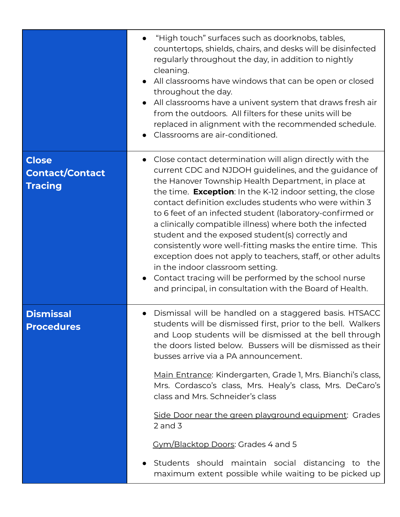|                                                          | "High touch" surfaces such as doorknobs, tables,<br>countertops, shields, chairs, and desks will be disinfected<br>regularly throughout the day, in addition to nightly<br>cleaning.<br>All classrooms have windows that can be open or closed<br>throughout the day.<br>All classrooms have a univent system that draws fresh air<br>from the outdoors. All filters for these units will be<br>replaced in alignment with the recommended schedule.<br>Classrooms are air-conditioned.<br>$\bullet$                                                                                                                                                                                                                                                                                      |
|----------------------------------------------------------|-------------------------------------------------------------------------------------------------------------------------------------------------------------------------------------------------------------------------------------------------------------------------------------------------------------------------------------------------------------------------------------------------------------------------------------------------------------------------------------------------------------------------------------------------------------------------------------------------------------------------------------------------------------------------------------------------------------------------------------------------------------------------------------------|
| <b>Close</b><br><b>Contact/Contact</b><br><b>Tracing</b> | Close contact determination will align directly with the<br>$\bullet$<br>current CDC and NJDOH guidelines, and the guidance of<br>the Hanover Township Health Department, in place at<br>the time. <b>Exception</b> : In the K-12 indoor setting, the close<br>contact definition excludes students who were within 3<br>to 6 feet of an infected student (laboratory-confirmed or<br>a clinically compatible illness) where both the infected<br>student and the exposed student(s) correctly and<br>consistently wore well-fitting masks the entire time. This<br>exception does not apply to teachers, staff, or other adults<br>in the indoor classroom setting.<br>Contact tracing will be performed by the school nurse<br>and principal, in consultation with the Board of Health. |
| <b>Dismissal</b><br><b>Procedures</b>                    | Dismissal will be handled on a staggered basis. HTSACC<br>students will be dismissed first, prior to the bell. Walkers<br>and Loop students will be dismissed at the bell through<br>the doors listed below. Bussers will be dismissed as their<br>busses arrive via a PA announcement.<br>Main Entrance: Kindergarten, Grade 1, Mrs. Bianchi's class,<br>Mrs. Cordasco's class, Mrs. Healy's class, Mrs. DeCaro's<br>class and Mrs. Schneider's class<br>Side Door near the green playground equipment: Grades<br>$2$ and $3$<br>Cym/Blacktop Doors: Grades 4 and 5                                                                                                                                                                                                                      |
|                                                          | Students should maintain social distancing to the<br>maximum extent possible while waiting to be picked up                                                                                                                                                                                                                                                                                                                                                                                                                                                                                                                                                                                                                                                                                |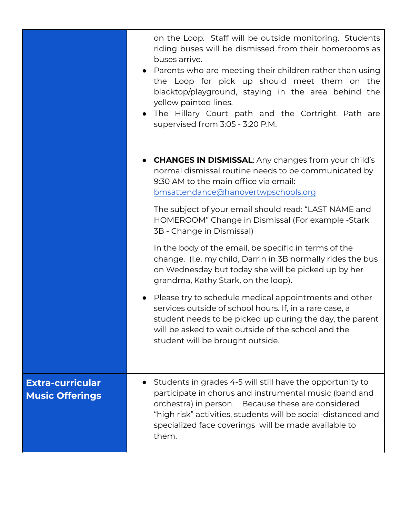|                                                   | on the Loop. Staff will be outside monitoring. Students<br>riding buses will be dismissed from their homerooms as<br>buses arrive.<br>• Parents who are meeting their children rather than using<br>the Loop for pick up should meet them on the<br>blacktop/playground, staying in the area behind the<br>yellow painted lines.<br>• The Hillary Court path and the Cortright Path are<br>supervised from 3:05 - 3:20 P.M. |
|---------------------------------------------------|-----------------------------------------------------------------------------------------------------------------------------------------------------------------------------------------------------------------------------------------------------------------------------------------------------------------------------------------------------------------------------------------------------------------------------|
|                                                   | • CHANGES IN DISMISSAL: Any changes from your child's<br>normal dismissal routine needs to be communicated by<br>9:30 AM to the main office via email:<br>bmsattendance@hanovertwpschools.org                                                                                                                                                                                                                               |
|                                                   | The subject of your email should read: "LAST NAME and<br>HOMEROOM" Change in Dismissal (For example -Stark<br>3B - Change in Dismissal)                                                                                                                                                                                                                                                                                     |
|                                                   | In the body of the email, be specific in terms of the<br>change. (I.e. my child, Darrin in 3B normally rides the bus<br>on Wednesday but today she will be picked up by her<br>grandma, Kathy Stark, on the loop).                                                                                                                                                                                                          |
|                                                   | Please try to schedule medical appointments and other<br>services outside of school hours. If, in a rare case, a<br>student needs to be picked up during the day, the parent<br>will be asked to wait outside of the school and the<br>student will be brought outside.                                                                                                                                                     |
| <b>Extra-curricular</b><br><b>Music Offerings</b> | Students in grades 4-5 will still have the opportunity to<br>participate in chorus and instrumental music (band and<br>orchestra) in person. Because these are considered<br>"high risk" activities, students will be social-distanced and<br>specialized face coverings will be made available to<br>them.                                                                                                                 |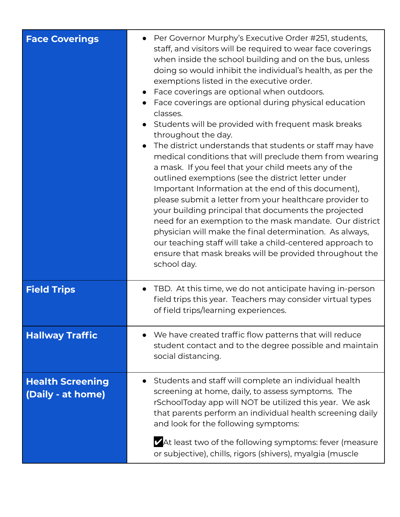| <b>Face Coverings</b>                        | Per Governor Murphy's Executive Order #251, students,<br>staff, and visitors will be required to wear face coverings<br>when inside the school building and on the bus, unless<br>doing so would inhibit the individual's health, as per the<br>exemptions listed in the executive order.<br>Face coverings are optional when outdoors.<br>Face coverings are optional during physical education<br>classes.<br>Students will be provided with frequent mask breaks<br>throughout the day.<br>The district understands that students or staff may have<br>medical conditions that will preclude them from wearing<br>a mask. If you feel that your child meets any of the<br>outlined exemptions (see the district letter under<br>Important Information at the end of this document),<br>please submit a letter from your healthcare provider to<br>your building principal that documents the projected<br>need for an exemption to the mask mandate. Our district<br>physician will make the final determination. As always,<br>our teaching staff will take a child-centered approach to<br>ensure that mask breaks will be provided throughout the<br>school day. |
|----------------------------------------------|------------------------------------------------------------------------------------------------------------------------------------------------------------------------------------------------------------------------------------------------------------------------------------------------------------------------------------------------------------------------------------------------------------------------------------------------------------------------------------------------------------------------------------------------------------------------------------------------------------------------------------------------------------------------------------------------------------------------------------------------------------------------------------------------------------------------------------------------------------------------------------------------------------------------------------------------------------------------------------------------------------------------------------------------------------------------------------------------------------------------------------------------------------------------|
| <b>Field Trips</b>                           | TBD. At this time, we do not anticipate having in-person<br>field trips this year. Teachers may consider virtual types<br>of field trips/learning experiences.                                                                                                                                                                                                                                                                                                                                                                                                                                                                                                                                                                                                                                                                                                                                                                                                                                                                                                                                                                                                         |
| <b>Hallway Traffic</b>                       | We have created traffic flow patterns that will reduce<br>student contact and to the degree possible and maintain<br>social distancing.                                                                                                                                                                                                                                                                                                                                                                                                                                                                                                                                                                                                                                                                                                                                                                                                                                                                                                                                                                                                                                |
| <b>Health Screening</b><br>(Daily - at home) | Students and staff will complete an individual health<br>screening at home, daily, to assess symptoms. The<br>rSchoolToday app will NOT be utilized this year. We ask<br>that parents perform an individual health screening daily<br>and look for the following symptoms:<br>ZAt least two of the following symptoms: fever (measure<br>or subjective), chills, rigors (shivers), myalgia (muscle                                                                                                                                                                                                                                                                                                                                                                                                                                                                                                                                                                                                                                                                                                                                                                     |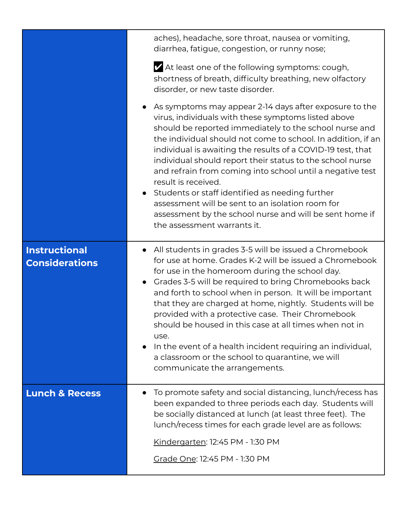|                                        | aches), headache, sore throat, nausea or vomiting,<br>diarrhea, fatigue, congestion, or runny nose;<br>At least one of the following symptoms: cough,<br>shortness of breath, difficulty breathing, new olfactory<br>disorder, or new taste disorder.                                                                                                                                                                                                                                                                                                                                                                                                    |
|----------------------------------------|----------------------------------------------------------------------------------------------------------------------------------------------------------------------------------------------------------------------------------------------------------------------------------------------------------------------------------------------------------------------------------------------------------------------------------------------------------------------------------------------------------------------------------------------------------------------------------------------------------------------------------------------------------|
|                                        | As symptoms may appear 2-14 days after exposure to the<br>virus, individuals with these symptoms listed above<br>should be reported immediately to the school nurse and<br>the individual should not come to school. In addition, if an<br>individual is awaiting the results of a COVID-19 test, that<br>individual should report their status to the school nurse<br>and refrain from coming into school until a negative test<br>result is received.<br>Students or staff identified as needing further<br>assessment will be sent to an isolation room for<br>assessment by the school nurse and will be sent home if<br>the assessment warrants it. |
| Instructional<br><b>Considerations</b> | All students in grades 3-5 will be issued a Chromebook<br>for use at home. Grades K-2 will be issued a Chromebook<br>for use in the homeroom during the school day.<br>Grades 3-5 will be required to bring Chromebooks back<br>and forth to school when in person. It will be important<br>that they are charged at home, nightly. Students will be<br>provided with a protective case. Their Chromebook<br>should be housed in this case at all times when not in<br>use.<br>In the event of a health incident requiring an individual,<br>a classroom or the school to quarantine, we will<br>communicate the arrangements.                           |
| <b>Lunch &amp; Recess</b>              | To promote safety and social distancing, lunch/recess has<br>been expanded to three periods each day. Students will<br>be socially distanced at lunch (at least three feet). The<br>lunch/recess times for each grade level are as follows:<br>Kindergarten: 12:45 PM - 1:30 PM<br>Grade One: 12:45 PM - 1:30 PM                                                                                                                                                                                                                                                                                                                                         |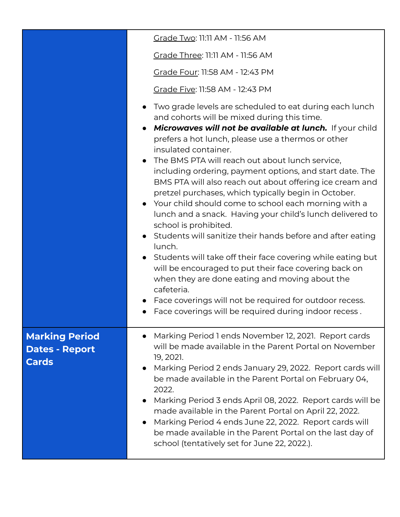|                                                | Grade Two: 11:11 AM - 11:56 AM                                                                                                                                                                                                                                                                                                                                                                                                                                                                                                                                                                                                                                                                                                                                                                                                                                                                                                                                                                                                                                     |
|------------------------------------------------|--------------------------------------------------------------------------------------------------------------------------------------------------------------------------------------------------------------------------------------------------------------------------------------------------------------------------------------------------------------------------------------------------------------------------------------------------------------------------------------------------------------------------------------------------------------------------------------------------------------------------------------------------------------------------------------------------------------------------------------------------------------------------------------------------------------------------------------------------------------------------------------------------------------------------------------------------------------------------------------------------------------------------------------------------------------------|
|                                                | Grade Three: 11:11 AM - 11:56 AM                                                                                                                                                                                                                                                                                                                                                                                                                                                                                                                                                                                                                                                                                                                                                                                                                                                                                                                                                                                                                                   |
|                                                | Grade Four: 11:58 AM - 12:43 PM                                                                                                                                                                                                                                                                                                                                                                                                                                                                                                                                                                                                                                                                                                                                                                                                                                                                                                                                                                                                                                    |
|                                                | Grade Five: 11:58 AM - 12:43 PM                                                                                                                                                                                                                                                                                                                                                                                                                                                                                                                                                                                                                                                                                                                                                                                                                                                                                                                                                                                                                                    |
|                                                | Two grade levels are scheduled to eat during each lunch<br>and cohorts will be mixed during this time.<br>Microwaves will not be available at lunch. If your child<br>$\bullet$<br>prefers a hot lunch, please use a thermos or other<br>insulated container.<br>The BMS PTA will reach out about lunch service,<br>$\bullet$<br>including ordering, payment options, and start date. The<br>BMS PTA will also reach out about offering ice cream and<br>pretzel purchases, which typically begin in October.<br>• Your child should come to school each morning with a<br>lunch and a snack. Having your child's lunch delivered to<br>school is prohibited.<br>• Students will sanitize their hands before and after eating<br>lunch.<br>• Students will take off their face covering while eating but<br>will be encouraged to put their face covering back on<br>when they are done eating and moving about the<br>cafeteria.<br>Face coverings will not be required for outdoor recess.<br>$\bullet$<br>Face coverings will be required during indoor recess. |
| <b>Marking Period</b><br><b>Dates - Report</b> | Marking Period 1 ends November 12, 2021. Report cards<br>$\bullet$<br>will be made available in the Parent Portal on November                                                                                                                                                                                                                                                                                                                                                                                                                                                                                                                                                                                                                                                                                                                                                                                                                                                                                                                                      |
| <b>Cards</b>                                   | 19, 2021.<br>Marking Period 2 ends January 29, 2022. Report cards will<br>be made available in the Parent Portal on February 04,<br>2022.<br>Marking Period 3 ends April 08, 2022. Report cards will be<br>made available in the Parent Portal on April 22, 2022.<br>Marking Period 4 ends June 22, 2022. Report cards will<br>$\bullet$<br>be made available in the Parent Portal on the last day of<br>school (tentatively set for June 22, 2022.).                                                                                                                                                                                                                                                                                                                                                                                                                                                                                                                                                                                                              |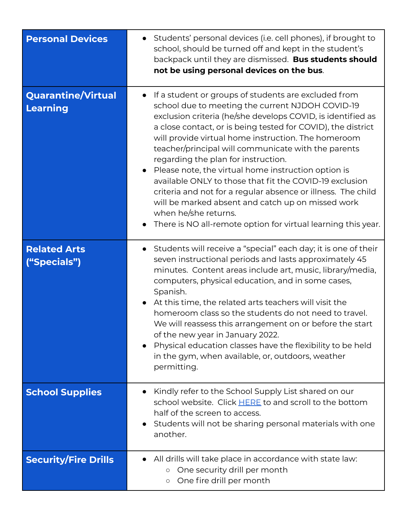| <b>Personal Devices</b>               | Students' personal devices (i.e. cell phones), if brought to<br>school, should be turned off and kept in the student's<br>backpack until they are dismissed. Bus students should<br>not be using personal devices on the bus.                                                                                                                                                                                                                                                                                                                                                                                                                                                                                                             |
|---------------------------------------|-------------------------------------------------------------------------------------------------------------------------------------------------------------------------------------------------------------------------------------------------------------------------------------------------------------------------------------------------------------------------------------------------------------------------------------------------------------------------------------------------------------------------------------------------------------------------------------------------------------------------------------------------------------------------------------------------------------------------------------------|
| <b>Quarantine/Virtual</b><br>Learning | If a student or groups of students are excluded from<br>$\bullet$<br>school due to meeting the current NJDOH COVID-19<br>exclusion criteria (he/she develops COVID, is identified as<br>a close contact, or is being tested for COVID), the district<br>will provide virtual home instruction. The homeroom<br>teacher/principal will communicate with the parents<br>regarding the plan for instruction.<br>Please note, the virtual home instruction option is<br>available ONLY to those that fit the COVID-19 exclusion<br>criteria and not for a regular absence or illness. The child<br>will be marked absent and catch up on missed work<br>when he/she returns.<br>There is NO all-remote option for virtual learning this year. |
| <b>Related Arts</b><br>("Specials")   | Students will receive a "special" each day; it is one of their<br>seven instructional periods and lasts approximately 45<br>minutes. Content areas include art, music, library/media,<br>computers, physical education, and in some cases,<br>Spanish.<br>At this time, the related arts teachers will visit the<br>homeroom class so the students do not need to travel.<br>We will reassess this arrangement on or before the start<br>of the new year in January 2022.<br>Physical education classes have the flexibility to be held<br>in the gym, when available, or, outdoors, weather<br>permitting.                                                                                                                               |
| <b>School Supplies</b>                | Kindly refer to the School Supply List shared on our<br>school website. Click HERE to and scroll to the bottom<br>half of the screen to access.<br>Students will not be sharing personal materials with one<br>another.                                                                                                                                                                                                                                                                                                                                                                                                                                                                                                                   |
| <b>Security/Fire Drills</b>           | All drills will take place in accordance with state law:<br>One security drill per month<br>$\circ$<br>One fire drill per month<br>$\circ$                                                                                                                                                                                                                                                                                                                                                                                                                                                                                                                                                                                                |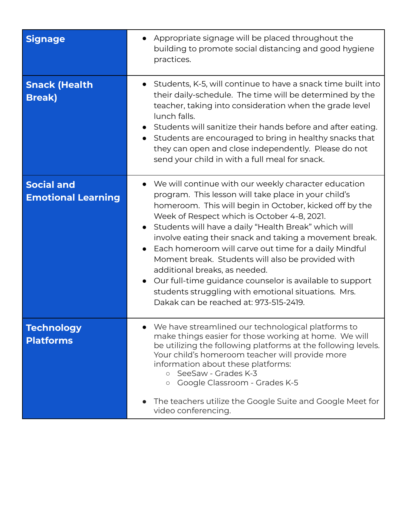| <b>Signage</b>                                 | • Appropriate signage will be placed throughout the<br>building to promote social distancing and good hygiene<br>practices.                                                                                                                                                                                                                                                                                                                                                                                                                                                                                                                             |
|------------------------------------------------|---------------------------------------------------------------------------------------------------------------------------------------------------------------------------------------------------------------------------------------------------------------------------------------------------------------------------------------------------------------------------------------------------------------------------------------------------------------------------------------------------------------------------------------------------------------------------------------------------------------------------------------------------------|
| <b>Snack (Health</b><br><b>Break</b> )         | Students, K-5, will continue to have a snack time built into<br>their daily-schedule. The time will be determined by the<br>teacher, taking into consideration when the grade level<br>lunch falls.<br>• Students will sanitize their hands before and after eating.<br>• Students are encouraged to bring in healthy snacks that<br>they can open and close independently. Please do not<br>send your child in with a full meal for snack.                                                                                                                                                                                                             |
| <b>Social and</b><br><b>Emotional Learning</b> | We will continue with our weekly character education<br>program. This lesson will take place in your child's<br>homeroom. This will begin in October, kicked off by the<br>Week of Respect which is October 4-8, 2021.<br>• Students will have a daily "Health Break" which will<br>involve eating their snack and taking a movement break.<br>Each homeroom will carve out time for a daily Mindful<br>Moment break. Students will also be provided with<br>additional breaks, as needed.<br>Our full-time guidance counselor is available to support<br>students struggling with emotional situations. Mrs.<br>Dakak can be reached at: 973-515-2419. |
| Technology<br><b>Platforms</b>                 | We have streamlined our technological platforms to<br>make things easier for those working at home. We will<br>be utilizing the following platforms at the following levels.<br>Your child's homeroom teacher will provide more<br>information about these platforms:<br>o SeeSaw - Grades K-3<br>Google Classroom - Grades K-5<br>$\circ$<br>The teachers utilize the Google Suite and Google Meet for<br>video conferencing.                                                                                                                                                                                                                          |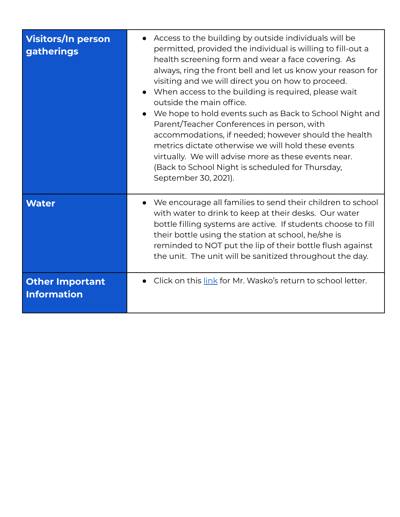| <b>Visitors/In person</b><br><b>gatherings</b> | • Access to the building by outside individuals will be<br>permitted, provided the individual is willing to fill-out a<br>health screening form and wear a face covering. As<br>always, ring the front bell and let us know your reason for<br>visiting and we will direct you on how to proceed.<br>When access to the building is required, please wait<br>outside the main office.<br>We hope to hold events such as Back to School Night and<br>Parent/Teacher Conferences in person, with<br>accommodations, if needed; however should the health<br>metrics dictate otherwise we will hold these events<br>virtually. We will advise more as these events near.<br>(Back to School Night is scheduled for Thursday,<br>September 30, 2021). |
|------------------------------------------------|---------------------------------------------------------------------------------------------------------------------------------------------------------------------------------------------------------------------------------------------------------------------------------------------------------------------------------------------------------------------------------------------------------------------------------------------------------------------------------------------------------------------------------------------------------------------------------------------------------------------------------------------------------------------------------------------------------------------------------------------------|
| <b>Water</b>                                   | We encourage all families to send their children to school<br>with water to drink to keep at their desks. Our water<br>bottle filling systems are active. If students choose to fill<br>their bottle using the station at school, he/she is<br>reminded to NOT put the lip of their bottle flush against<br>the unit. The unit will be sanitized throughout the day.                                                                                                                                                                                                                                                                                                                                                                              |
| <b>Other Important</b><br><b>Information</b>   | Click on this link for Mr. Wasko's return to school letter.                                                                                                                                                                                                                                                                                                                                                                                                                                                                                                                                                                                                                                                                                       |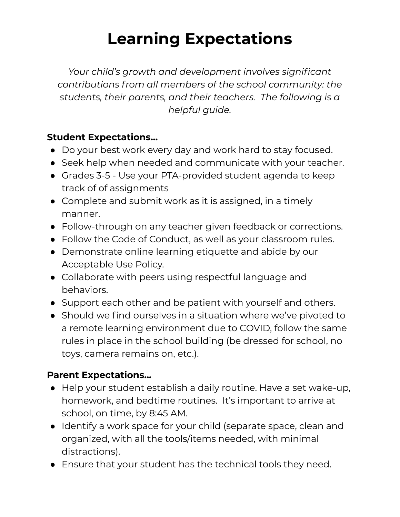## **Learning Expectations**

*Your child's growth and development involves significant contributions from all members of the school community: the students, their parents, and their teachers. The following is a helpful guide.*

### **Student Expectations...**

- Do your best work every day and work hard to stay focused.
- Seek help when needed and communicate with your teacher.
- Grades 3-5 Use your PTA-provided student agenda to keep track of of assignments
- Complete and submit work as it is assigned, in a timely manner.
- Follow-through on any teacher given feedback or corrections.
- Follow the Code of Conduct, as well as your classroom rules.
- Demonstrate online learning etiquette and abide by our Acceptable Use Policy.
- Collaborate with peers using respectful language and behaviors.
- Support each other and be patient with yourself and others.
- Should we find ourselves in a situation where we've pivoted to a remote learning environment due to COVID, follow the same rules in place in the school building (be dressed for school, no toys, camera remains on, etc.).

#### **Parent Expectations...**

- Help your student establish a daily routine. Have a set wake-up, homework, and bedtime routines. It's important to arrive at school, on time, by 8:45 AM.
- Identify a work space for your child (separate space, clean and organized, with all the tools/items needed, with minimal distractions).
- Ensure that your student has the technical tools they need.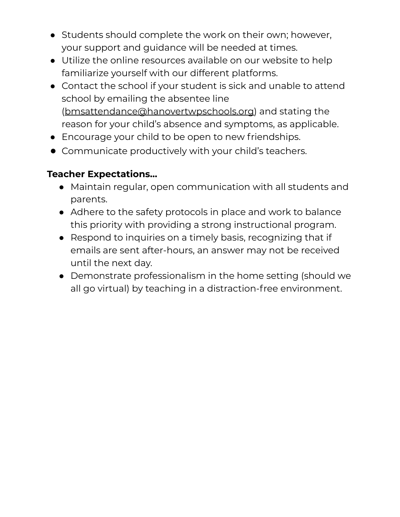- Students should complete the work on their own; however, your support and guidance will be needed at times.
- Utilize the online resources available on our website to help familiarize yourself with our different platforms.
- Contact the school if your student is sick and unable to attend school by emailing the absentee line [\(bmsattendance@hanovertwpschools.org\)](mailto:bmsattendance@hanovertwpschools.org) and stating the reason for your child's absence and symptoms, as applicable.
- Encourage your child to be open to new friendships.
- Communicate productively with your child's teachers.

#### **Teacher Expectations...**

- Maintain regular, open communication with all students and parents.
- Adhere to the safety protocols in place and work to balance this priority with providing a strong instructional program.
- Respond to inquiries on a timely basis, recognizing that if emails are sent after-hours, an answer may not be received until the next day.
- Demonstrate professionalism in the home setting (should we all go virtual) by teaching in a distraction-free environment.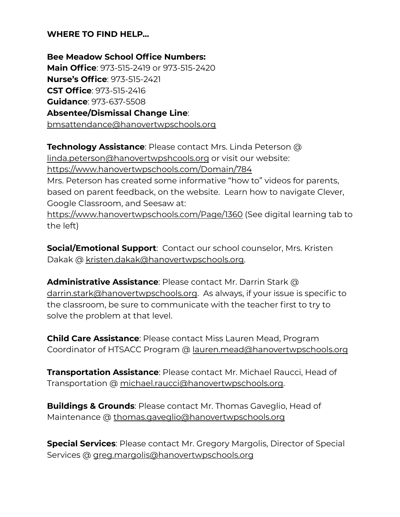#### **WHERE TO FIND HELP...**

**Bee Meadow School Office Numbers: Main Office**: 973-515-2419 or 973-515-2420 **Nurse's Office**: 973-515-2421 **CST Office**: 973-515-2416 **Guidance**: 973-637-5508 **Absentee/Dismissal Change Line**: [bmsattendance@hanovertwpschools.org](mailto:bmsattendance@hanovertwpschools.org)

**Technology Assistance**: Please contact Mrs. Linda Peterson @ [linda.peterson@hanovertwpshcools.org](mailto:linda.peterson@hanovertwpshcools.org) or visit our website: <https://www.hanovertwpschools.com/Domain/784> Mrs. Peterson has created some informative "how to" videos for parents, based on parent feedback, on the website. Learn how to navigate Clever, Google Classroom, and Seesaw at: <https://www.hanovertwpschools.com/Page/1360> (See digital learning tab to the left)

**Social/Emotional Support**: Contact our school counselor, Mrs. Kristen Dakak @ [kristen.dakak@hanovertwpschools.org.](mailto:kristen.dakak@hanovertwpschools.org)

**Administrative Assistance**: Please contact Mr. Darrin Stark @ [darrin.stark@hanovertwpschools.org](mailto:darrin.stark@hanovertwpschools.org). As always, if your issue is specific to the classroom, be sure to communicate with the teacher first to try to solve the problem at that level.

**Child Care Assistance**: Please contact Miss Lauren Mead, Program Coordinator of HTSACC Program @ [lauren.mead@hanovertwpschools.org](mailto:lauren.mead@hanovertwpschools.org)

**Transportation Assistance**: Please contact Mr. Michael Raucci, Head of Transportation @ [michael.raucci@hanovertwpschools.org.](mailto:michael.raucci@hanovertwpschools.org)

**Buildings & Grounds**: Please contact Mr. Thomas Gaveglio, Head of Maintenance @ [thomas.gaveglio@hanovertwpschools.org](mailto:thomas.gaveglio@hanovertwpschools.org)

**Special Services**: Please contact Mr. Gregory Margolis, Director of Special Services @ [greg.margolis@hanovertwpschools.org](mailto:greg.margolis@hanovertwpschools.org)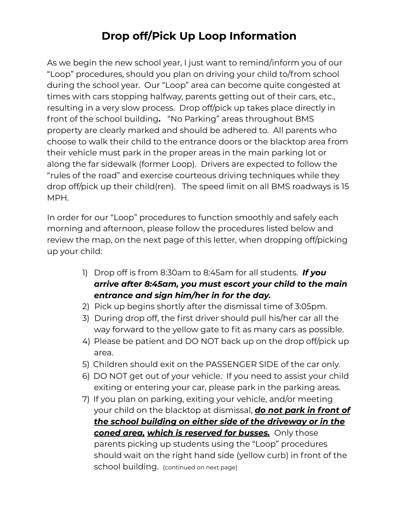## **Drop off/Pick Up Loop Information**

As we begin the new school year, I just want to remind/inform you of our "Loop" procedures, should you plan on driving your child to/from school during the school year. Our "Loop" area can become quite congested at times with cars stopping halfway, parents getting out of their cars, etc., resulting in a very slow process. Drop off/pick up takes place directly in front of the school building**.** "No Parking" areas throughout BMS property are clearly marked and should be adhered to. All parents who choose to walk their child to the entrance doors or the blacktop area from their vehicle must park in the proper areas in the main parking lot or along the far sidewalk (former Loop). Drivers are expected to follow the "rules of the road" and exercise courteous driving techniques while they drop off/pick up their child(ren). The speed limit on all BMS roadways is 15 MPH.

In order for our "Loop" procedures to function smoothly and safely each morning and afternoon, please follow the procedures listed below and review the map, on the next page of this letter, when dropping off/picking up your child:

- 1) Drop off is from 8:30am to 8:45am for all students. *If you arrive after 8:45am, you must escort your child to the main entrance and sign him/her in for the day.*
- 2) Pick up begins shortly after the dismissal time of 3:05pm.
- 3) During drop off, the first driver should pull his/her car all the way forward to the yellow gate to fit as many cars as possible.
- 4) Please be patient and DO NOT back up on the drop off/pick up area.
- 5) Children should exit on the PASSENGER SIDE of the car only.
- 6) DO NOT get out of your vehicle. If you need to assist your child exiting or entering your car, please park in the parking areas.
- 7) If you plan on parking, exiting your vehicle, and/or meeting your child on the blacktop at dismissal, *do not park in front of the school building on either side of the driveway or in the coned area, which is reserved for busses.* Only those parents picking up students using the "Loop" procedures should wait on the right hand side (yellow curb) in front of the school building. (continued on next page)